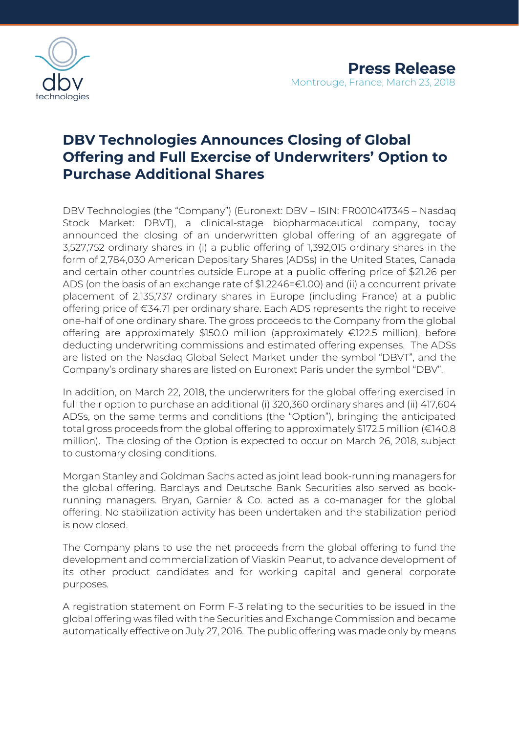

# **DBV Technologies Announces Closing of Global Offering and Full Exercise of Underwriters' Option to Purchase Additional Shares**

DBV Technologies (the "Company") (Euronext: DBV – ISIN: FR0010417345 – Nasdaq Stock Market: DBVT), a clinical-stage biopharmaceutical company, today announced the closing of an underwritten global offering of an aggregate of 3,527,752 ordinary shares in (i) a public offering of 1,392,015 ordinary shares in the form of 2,784,030 American Depositary Shares (ADSs) in the United States, Canada and certain other countries outside Europe at a public offering price of \$21.26 per ADS (on the basis of an exchange rate of \$1.2246=€1.00) and (ii) a concurrent private placement of 2,135,737 ordinary shares in Europe (including France) at a public offering price of €34.71 per ordinary share. Each ADS represents the right to receive one-half of one ordinary share. The gross proceeds to the Company from the global offering are approximately \$150.0 million (approximately €122.5 million), before deducting underwriting commissions and estimated offering expenses. The ADSs are listed on the Nasdaq Global Select Market under the symbol "DBVT", and the Company's ordinary shares are listed on Euronext Paris under the symbol "DBV".

In addition, on March 22, 2018, the underwriters for the global offering exercised in full their option to purchase an additional (i) 320,360 ordinary shares and (ii) 417,604 ADSs, on the same terms and conditions (the "Option"), bringing the anticipated total gross proceeds from the global offering to approximately \$172.5 million (€140.8 million). The closing of the Option is expected to occur on March 26, 2018, subject to customary closing conditions.

Morgan Stanley and Goldman Sachs acted as joint lead book-running managers for the global offering. Barclays and Deutsche Bank Securities also served as bookrunning managers. Bryan, Garnier & Co. acted as a co-manager for the global offering. No stabilization activity has been undertaken and the stabilization period is now closed.

The Company plans to use the net proceeds from the global offering to fund the development and commercialization of Viaskin Peanut, to advance development of its other product candidates and for working capital and general corporate purposes.

A registration statement on Form F-3 relating to the securities to be issued in the global offering was filed with the Securities and Exchange Commission and became automatically effective on July 27, 2016. The public offering was made only by means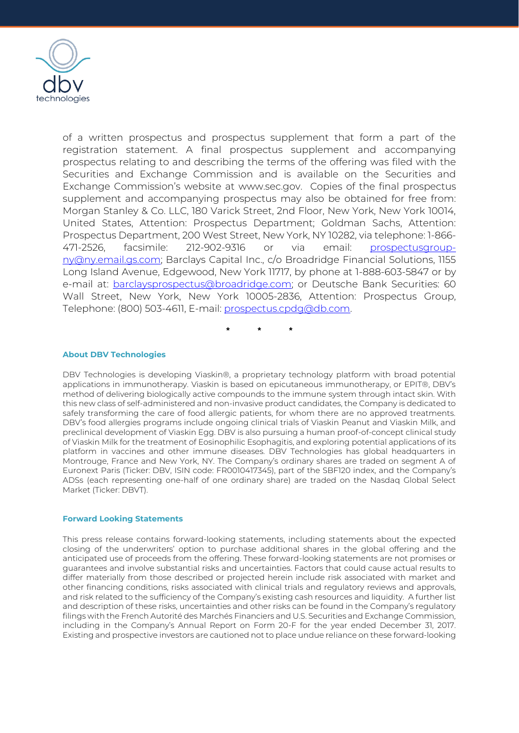

of a written prospectus and prospectus supplement that form a part of the registration statement. A final prospectus supplement and accompanying prospectus relating to and describing the terms of the offering was filed with the Securities and Exchange Commission and is available on the Securities and Exchange Commission's website at www.sec.gov. Copies of the final prospectus supplement and accompanying prospectus may also be obtained for free from: Morgan Stanley & Co. LLC, 180 Varick Street, 2nd Floor, New York, New York 10014, United States, Attention: Prospectus Department; Goldman Sachs, Attention: Prospectus Department, 200 West Street, New York, NY 10282, via telephone: 1-866- 471-2526, facsimile: 212-902-9316 or via email: [prospectusgroup](mailto:prospectusgroup-ny@ny.email.gs.com)[ny@ny.email.gs.com;](mailto:prospectusgroup-ny@ny.email.gs.com) Barclays Capital Inc., c/o Broadridge Financial Solutions, 1155 Long Island Avenue, Edgewood, New York 11717, by phone at 1-888-603-5847 or by e-mail at: **barclaysprospectus@broadridge.com**; or Deutsche Bank Securities: 60 Wall Street, New York, New York 10005-2836, Attention: Prospectus Group, Telephone: (800) 503-4611, E-mail: [prospectus.cpdg@db.com.](mailto:prospectus.cpdg@db.com)

**\* \* \***

## **About DBV Technologies**

DBV Technologies is developing Viaskin®, a proprietary technology platform with broad potential applications in immunotherapy. Viaskin is based on epicutaneous immunotherapy, or EPIT®, DBV's method of delivering biologically active compounds to the immune system through intact skin. With this new class of self-administered and non-invasive product candidates, the Company is dedicated to safely transforming the care of food allergic patients, for whom there are no approved treatments. DBV's food allergies programs include ongoing clinical trials of Viaskin Peanut and Viaskin Milk, and preclinical development of Viaskin Egg. DBV is also pursuing a human proof-of-concept clinical study of Viaskin Milk for the treatment of Eosinophilic Esophagitis, and exploring potential applications of its platform in vaccines and other immune diseases. DBV Technologies has global headquarters in Montrouge, France and New York, NY. The Company's ordinary shares are traded on segment A of Euronext Paris (Ticker: DBV, ISIN code: FR0010417345), part of the SBF120 index, and the Company's ADSs (each representing one-half of one ordinary share) are traded on the Nasdaq Global Select Market (Ticker: DBVT).

#### **Forward Looking Statements**

This press release contains forward-looking statements, including statements about the expected closing of the underwriters' option to purchase additional shares in the global offering and the anticipated use of proceeds from the offering. These forward-looking statements are not promises or guarantees and involve substantial risks and uncertainties. Factors that could cause actual results to differ materially from those described or projected herein include risk associated with market and other financing conditions, risks associated with clinical trials and regulatory reviews and approvals, and risk related to the sufficiency of the Company's existing cash resources and liquidity. A further list and description of these risks, uncertainties and other risks can be found in the Company's regulatory filings with the French Autorité des Marchés Financiers and U.S. Securities and Exchange Commission, including in the Company's Annual Report on Form 20-F for the year ended December 31, 2017. Existing and prospective investors are cautioned not to place undue reliance on these forward-looking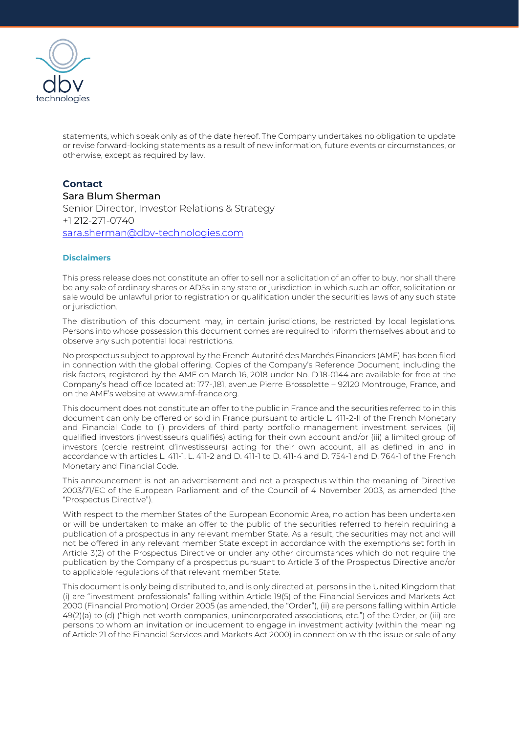

statements, which speak only as of the date hereof. The Company undertakes no obligation to update or revise forward-looking statements as a result of new information, future events or circumstances, or otherwise, except as required by law.

# **Contact** Sara Blum Sherman

Senior Director, Investor Relations & Strategy +1 212-271-0740 [sara.sherman@dbv-technologies.com](mailto:susanna.mesa@dbv-technologies.com)

### **Disclaimers**

This press release does not constitute an offer to sell nor a solicitation of an offer to buy, nor shall there be any sale of ordinary shares or ADSs in any state or jurisdiction in which such an offer, solicitation or sale would be unlawful prior to registration or qualification under the securities laws of any such state or jurisdiction.

The distribution of this document may, in certain jurisdictions, be restricted by local legislations. Persons into whose possession this document comes are required to inform themselves about and to observe any such potential local restrictions.

No prospectus subject to approval by the French Autorité des Marchés Financiers (AMF) has been filed in connection with the global offering. Copies of the Company's Reference Document, including the risk factors, registered by the AMF on March 16, 2018 under No. D.18-0144 are available for free at the Company's head office located at: 177-,181, avenue Pierre Brossolette – 92120 Montrouge, France, and on the AMF's website at www.amf-france.org.

This document does not constitute an offer to the public in France and the securities referred to in this document can only be offered or sold in France pursuant to article L. 411-2-II of the French Monetary and Financial Code to (i) providers of third party portfolio management investment services, (ii) qualified investors (investisseurs qualifiés) acting for their own account and/or (iii) a limited group of investors (cercle restreint d'investisseurs) acting for their own account, all as defined in and in accordance with articles L. 411-1, L. 411-2 and D. 411-1 to D. 411-4 and D. 754-1 and D. 764-1 of the French Monetary and Financial Code.

This announcement is not an advertisement and not a prospectus within the meaning of Directive 2003/71/EC of the European Parliament and of the Council of 4 November 2003, as amended (the "Prospectus Directive").

With respect to the member States of the European Economic Area, no action has been undertaken or will be undertaken to make an offer to the public of the securities referred to herein requiring a publication of a prospectus in any relevant member State. As a result, the securities may not and will not be offered in any relevant member State except in accordance with the exemptions set forth in Article 3(2) of the Prospectus Directive or under any other circumstances which do not require the publication by the Company of a prospectus pursuant to Article 3 of the Prospectus Directive and/or to applicable regulations of that relevant member State.

This document is only being distributed to, and is only directed at, persons in the United Kingdom that (i) are "investment professionals" falling within Article 19(5) of the Financial Services and Markets Act 2000 (Financial Promotion) Order 2005 (as amended, the "Order"), (ii) are persons falling within Article 49(2)(a) to (d) ("high net worth companies, unincorporated associations, etc.") of the Order, or (iii) are persons to whom an invitation or inducement to engage in investment activity (within the meaning of Article 21 of the Financial Services and Markets Act 2000) in connection with the issue or sale of any